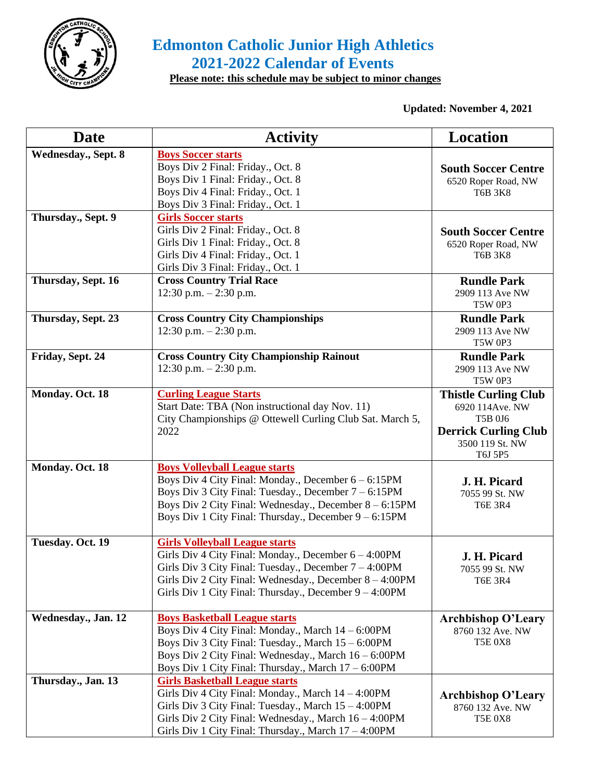

## **Edmonton Catholic Junior High Athletics 2021-2022 Calendar of Events**

 **Please note: this schedule may be subject to minor changes**

**Updated: November 4, 2021**

| <b>Date</b>                | <b>Activity</b>                                           | <b>Location</b>                   |
|----------------------------|-----------------------------------------------------------|-----------------------------------|
| <b>Wednesday., Sept. 8</b> | <b>Boys Soccer starts</b>                                 |                                   |
|                            | Boys Div 2 Final: Friday., Oct. 8                         | <b>South Soccer Centre</b>        |
|                            | Boys Div 1 Final: Friday., Oct. 8                         | 6520 Roper Road, NW               |
|                            | Boys Div 4 Final: Friday., Oct. 1                         | <b>T6B 3K8</b>                    |
|                            | Boys Div 3 Final: Friday., Oct. 1                         |                                   |
| Thursday., Sept. 9         | <b>Girls Soccer starts</b>                                |                                   |
|                            | Girls Div 2 Final: Friday., Oct. 8                        | <b>South Soccer Centre</b>        |
|                            | Girls Div 1 Final: Friday., Oct. 8                        | 6520 Roper Road, NW               |
|                            | Girls Div 4 Final: Friday., Oct. 1                        | <b>T6B 3K8</b>                    |
|                            | Girls Div 3 Final: Friday., Oct. 1                        |                                   |
| Thursday, Sept. 16         | <b>Cross Country Trial Race</b>                           | <b>Rundle Park</b>                |
|                            | 12:30 p.m. $-2:30$ p.m.                                   | 2909 113 Ave NW                   |
|                            |                                                           | <b>T5W 0P3</b>                    |
| Thursday, Sept. 23         | <b>Cross Country City Championships</b>                   | <b>Rundle Park</b>                |
|                            | $12:30$ p.m. $-2:30$ p.m.                                 | 2909 113 Ave NW<br><b>T5W 0P3</b> |
| Friday, Sept. 24           | <b>Cross Country City Championship Rainout</b>            | <b>Rundle Park</b>                |
|                            | $12:30$ p.m. $-2:30$ p.m.                                 | 2909 113 Ave NW                   |
|                            |                                                           | <b>T5W 0P3</b>                    |
| Monday. Oct. 18            | <b>Curling League Starts</b>                              | <b>Thistle Curling Club</b>       |
|                            | Start Date: TBA (Non instructional day Nov. 11)           | 6920 114Ave. NW                   |
|                            | City Championships @ Ottewell Curling Club Sat. March 5,  | T5B 0J6                           |
|                            | 2022                                                      | <b>Derrick Curling Club</b>       |
|                            |                                                           | 3500 119 St. NW                   |
|                            |                                                           | T6J 5P5                           |
| Monday. Oct. 18            | <b>Boys Volleyball League starts</b>                      |                                   |
|                            | Boys Div 4 City Final: Monday., December $6 - 6:15PM$     | J. H. Picard                      |
|                            | Boys Div 3 City Final: Tuesday., December $7 - 6:15PM$    | 7055 99 St. NW                    |
|                            | Boys Div 2 City Final: Wednesday., December 8 – 6:15PM    | <b>T6E 3R4</b>                    |
|                            | Boys Div 1 City Final: Thursday., December $9 - 6:15PM$   |                                   |
| Tuesday. Oct. 19           | <b>Girls Volleyball League starts</b>                     |                                   |
|                            | Girls Div 4 City Final: Monday., December 6 - 4:00PM      | J. H. Picard                      |
|                            | Girls Div 3 City Final: Tuesday., December 7 - 4:00PM     | 7055 99 St. NW                    |
|                            | Girls Div 2 City Final: Wednesday., December 8 – 4:00PM   | <b>T6E 3R4</b>                    |
|                            | Girls Div 1 City Final: Thursday., December $9 - 4:00$ PM |                                   |
|                            |                                                           |                                   |
| Wednesday., Jan. 12        | <b>Boys Basketball League starts</b>                      | <b>Archbishop O'Leary</b>         |
|                            | Boys Div 4 City Final: Monday., March 14 - 6:00PM         | 8760 132 Ave. NW                  |
|                            | Boys Div 3 City Final: Tuesday., March $15 - 6:00$ PM     | <b>T5E 0X8</b>                    |
|                            | Boys Div 2 City Final: Wednesday., March $16 - 6:00$ PM   |                                   |
|                            | Boys Div 1 City Final: Thursday., March 17 - 6:00PM       |                                   |
| Thursday., Jan. 13         | <b>Girls Basketball League starts</b>                     |                                   |
|                            | Girls Div 4 City Final: Monday., March 14 - 4:00PM        | <b>Archbishop O'Leary</b>         |
|                            | Girls Div 3 City Final: Tuesday., March 15 – 4:00PM       | 8760 132 Ave. NW                  |
|                            | Girls Div 2 City Final: Wednesday., March 16 - 4:00PM     | <b>T5E 0X8</b>                    |
|                            | Girls Div 1 City Final: Thursday., March 17 - 4:00PM      |                                   |